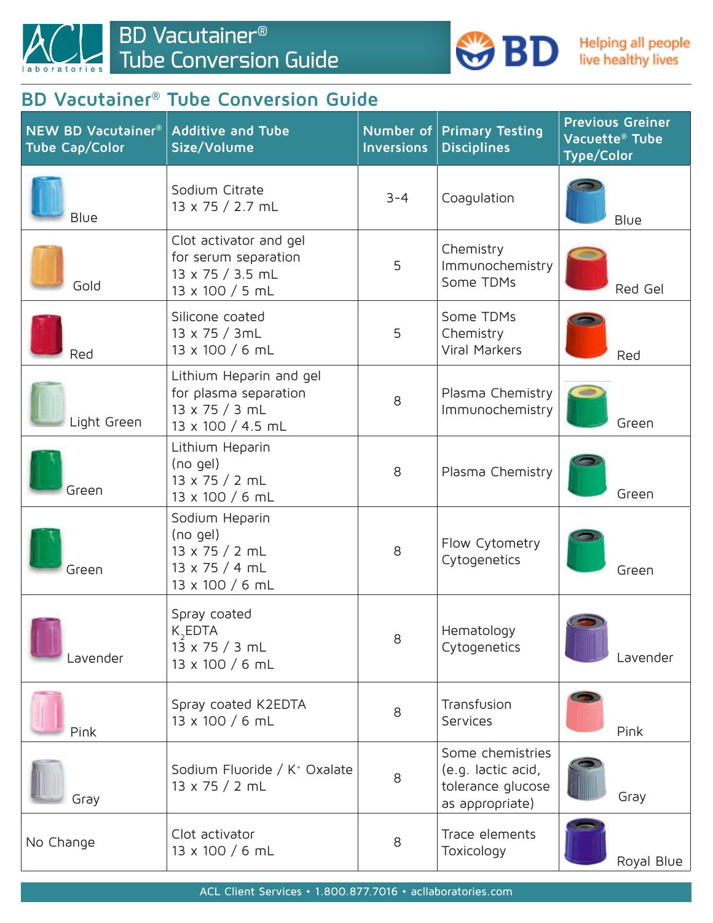

## **BD Vacutainer® Tube Conversion Guide**

| <b>NEW BD Vacutainer®</b><br><b>Tube Cap/Color</b> | <b>Additive and Tube</b><br>Size/Volume                                                        | Number of<br><b>Inversions</b> | <b>Primary Testing</b><br><b>Disciplines</b>                                   | <b>Previous Greiner</b><br>Vacuette <sup>®</sup> Tube<br><b>Type/Color</b> |
|----------------------------------------------------|------------------------------------------------------------------------------------------------|--------------------------------|--------------------------------------------------------------------------------|----------------------------------------------------------------------------|
| Blue                                               | Sodium Citrate<br>13 x 75 / 2.7 mL                                                             | $3 - 4$                        | Coagulation                                                                    | Blue                                                                       |
| Gold                                               | Clot activator and gel<br>for serum separation<br>13 x 75 / 3.5 mL<br>13 x 100 / 5 mL          | 5                              | Chemistry<br>Immunochemistry<br>Some TDMs                                      | Red Gel                                                                    |
| Red                                                | Silicone coated<br>13 x 75 / 3mL<br>13 x 100 / 6 mL                                            | 5                              | Some TDMs<br>Chemistry<br><b>Viral Markers</b>                                 | Red                                                                        |
| Light Green                                        | Lithium Heparin and gel<br>for plasma separation<br>$13 \times 75 / 3$ mL<br>13 x 100 / 4.5 mL | 8                              | Plasma Chemistry<br>Immunochemistry                                            | Green                                                                      |
| Green                                              | Lithium Heparin<br>$(no$ gel)<br>13 x 75 / 2 mL<br>13 x 100 / 6 mL                             | 8                              | Plasma Chemistry                                                               | Green                                                                      |
| Green                                              | Sodium Heparin<br>$(no$ gel)<br>$13 \times 75 / 2$ mL<br>13 x 75 / 4 mL<br>13 x 100 / 6 mL     | 8                              | Flow Cytometry<br>Cytogenetics                                                 | Green                                                                      |
| .avender                                           | Spray coated<br>$K$ <sub>2</sub> EDTA<br>13 x 75 / 3 mL<br>13 x 100 / 6 mL                     | 8                              | Hematology<br>Cytogenetics                                                     | Lavender                                                                   |
| Pink                                               | Spray coated K2EDTA<br>13 x 100 / 6 mL                                                         | 8                              | Transfusion<br><b>Services</b>                                                 | Pink                                                                       |
| Gray                                               | Sodium Fluoride / K <sup>+</sup> Oxalate<br>$13 \times 75 / 2$ mL                              | 8                              | Some chemistries<br>(e.g. lactic acid,<br>tolerance glucose<br>as appropriate) | Gray                                                                       |
| No Change                                          | Clot activator<br>13 x 100 / 6 mL                                                              | 8                              | Trace elements<br>Toxicology                                                   | Royal Blue                                                                 |